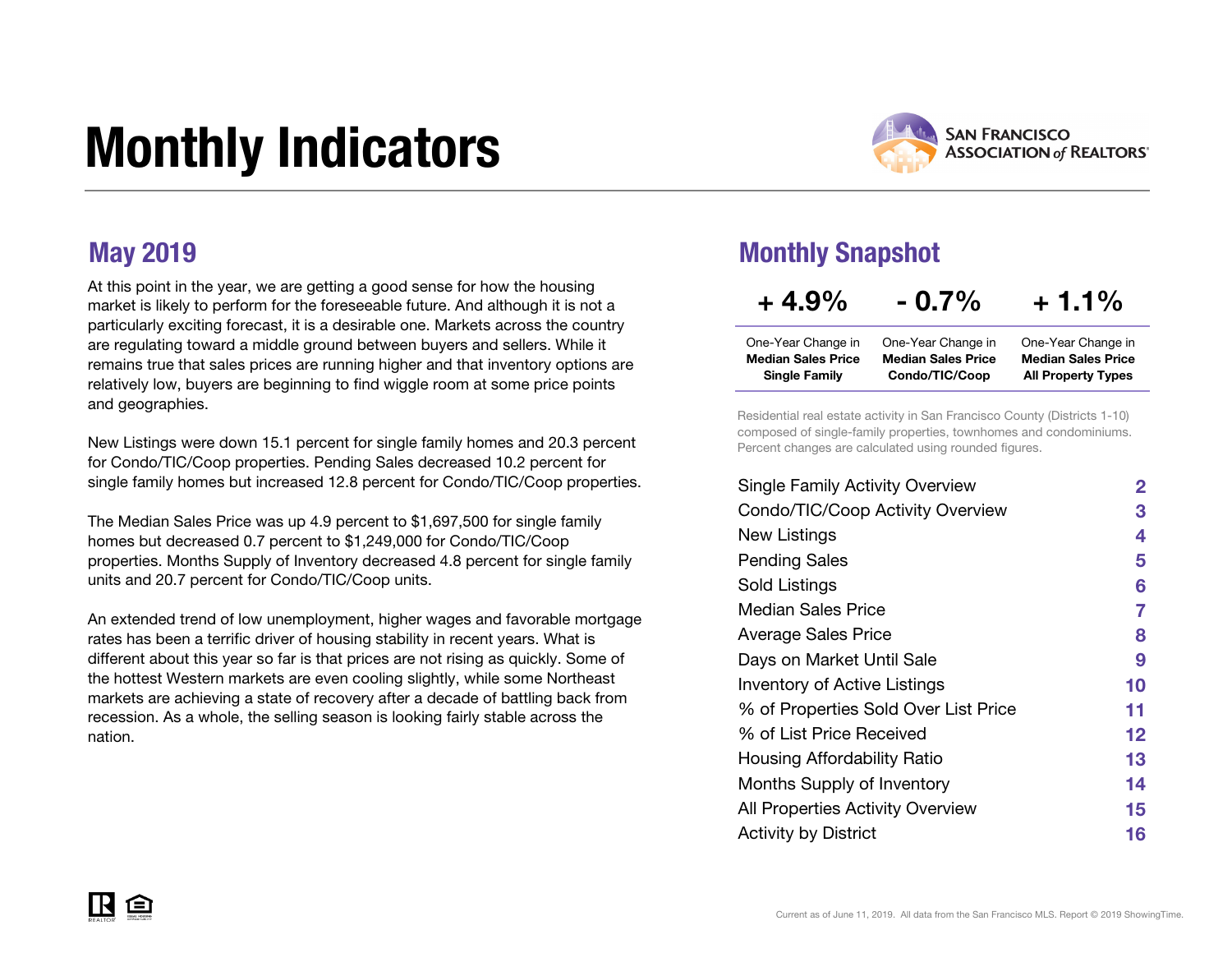## Monthly Indicators



At this point in the year, we are getting a good sense for how the housing market is likely to perform for the foreseeable future. And although it is not a particularly exciting forecast, it is a desirable one. Markets across the country are regulating toward a middle ground between buyers and sellers. While it remains true that sales prices are running higher and that inventory options are relatively low, buyers are beginning to find wiggle room at some price points and geographies.

New Listings were down 15.1 percent for single family homes and 20.3 percent for Condo/TIC/Coop properties. Pending Sales decreased 10.2 percent for single family homes but increased 12.8 percent for Condo/TIC/Coop properties.

The Median Sales Price was up 4.9 percent to \$1,697,500 for single family homes but decreased 0.7 percent to \$1,249,000 for Condo/TIC/Coop properties. Months Supply of Inventory decreased 4.8 percent for single family units and 20.7 percent for Condo/TIC/Coop units.

An extended trend of low unemployment, higher wages and favorable mortgage rates has been a terrific driver of housing stability in recent years. What is different about this year so far is that prices are not rising as quickly. Some of the hottest Western markets are even cooling slightly, while some Northeast markets are achieving a state of recovery after a decade of battling back from recession. As a whole, the selling season is looking fairly stable across the nation.

#### May 2019 Monthly Snapshot

| $+4.9%$ |  | $-0.7\%$ |  | $+1.1%$ |  |
|---------|--|----------|--|---------|--|
|         |  |          |  |         |  |

| One-Year Change in        | One-Year Change in        | One-Year Change in        |
|---------------------------|---------------------------|---------------------------|
| <b>Median Sales Price</b> | <b>Median Sales Price</b> | <b>Median Sales Price</b> |
| <b>Single Family</b>      | Condo/TIC/Coop            | <b>All Property Types</b> |

Residential real estate activity in San Francisco County (Districts 1-10) composed of single-family properties, townhomes and condominiums. Percent changes are calculated using rounded figures.

| <b>Single Family Activity Overview</b>  | 2  |
|-----------------------------------------|----|
| Condo/TIC/Coop Activity Overview        | 3  |
| New Listings                            | 4  |
| <b>Pending Sales</b>                    | 5  |
| Sold Listings                           | 6  |
| <b>Median Sales Price</b>               | 7  |
| <b>Average Sales Price</b>              | 8  |
| Days on Market Until Sale               | 9  |
| <b>Inventory of Active Listings</b>     | 10 |
| % of Properties Sold Over List Price    | 11 |
| % of List Price Received                | 12 |
| <b>Housing Affordability Ratio</b>      | 13 |
| Months Supply of Inventory              | 14 |
| <b>All Properties Activity Overview</b> | 15 |
| <b>Activity by District</b>             | 16 |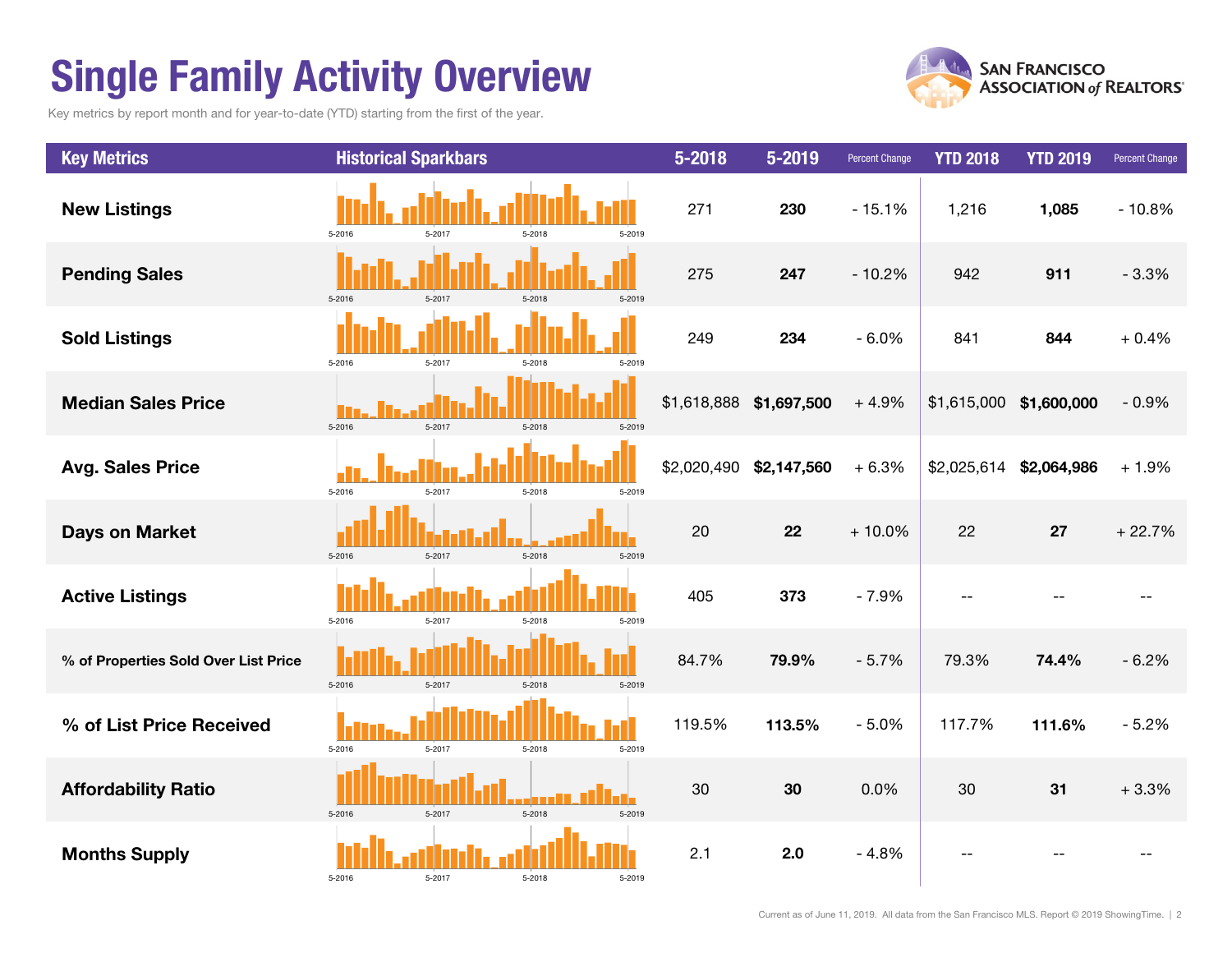## Single Family Activity Overview

Key metrics by report month and for year-to-date (YTD) starting from the first of the year.



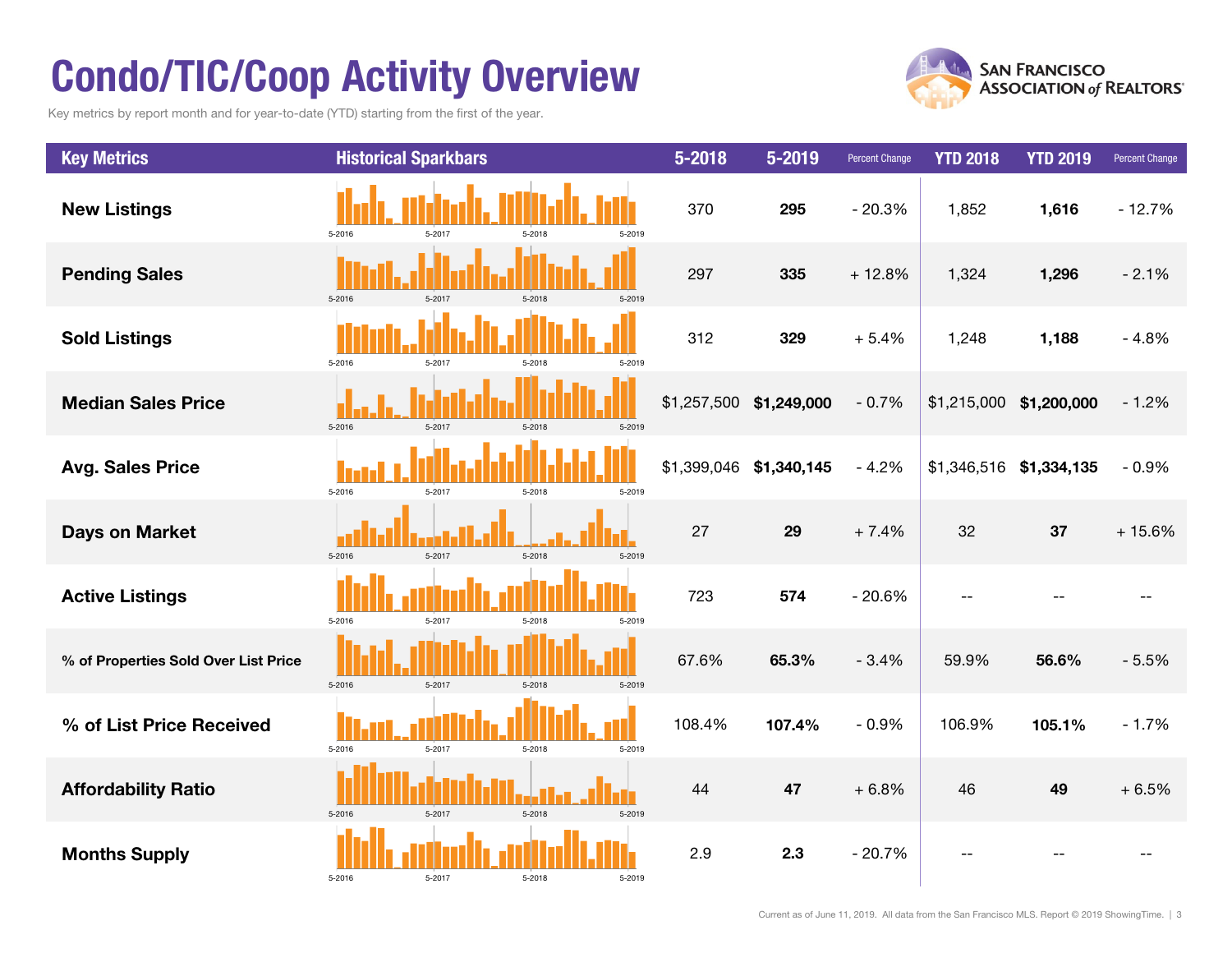## Condo/TIC/Coop Activity Overview

Key metrics by report month and for year-to-date (YTD) starting from the first of the year.



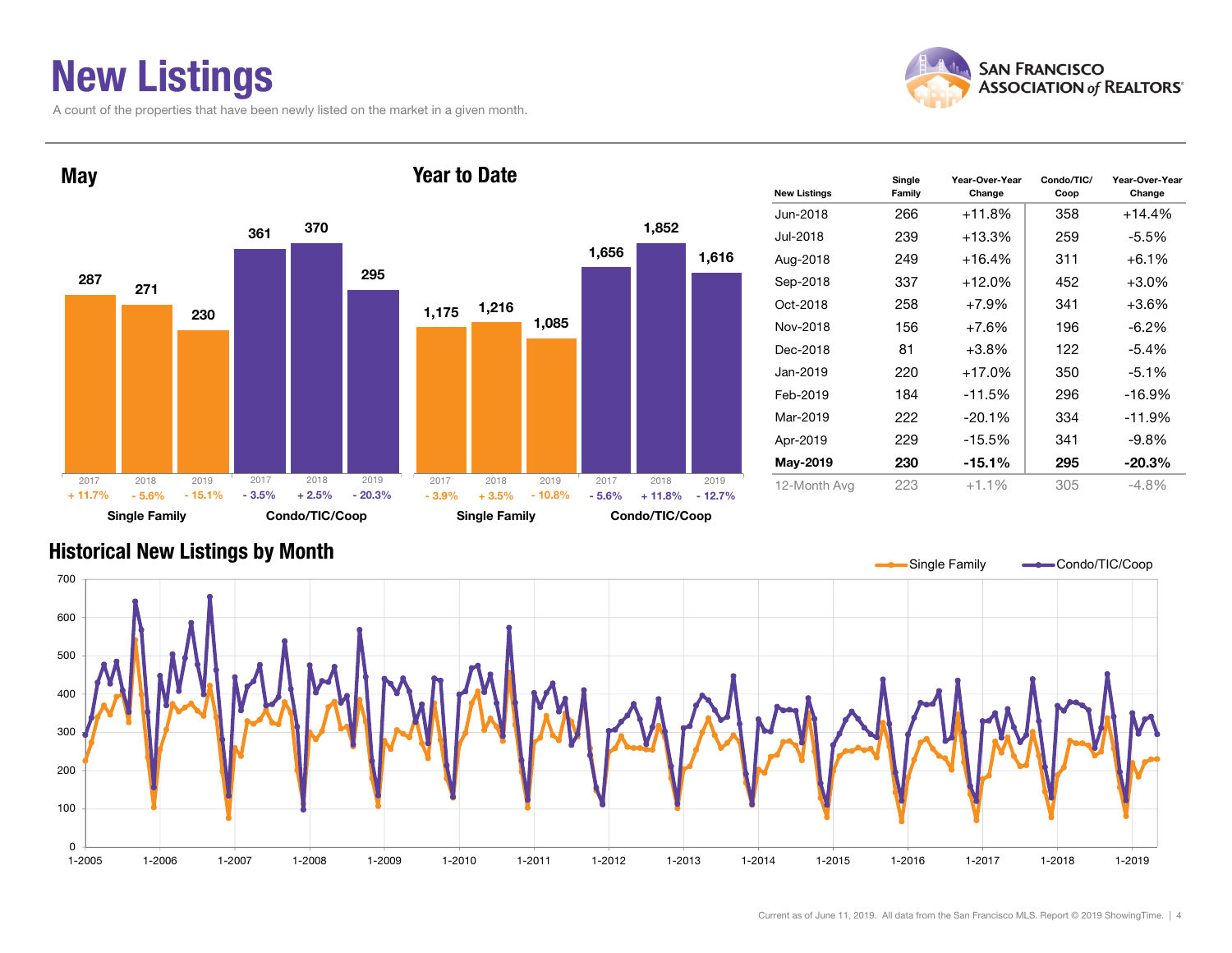## New Listings

A count of the properties that have been newly listed on the market in a given month.





| <b>New Listings</b> | Single<br>Family | Year-Over-Year<br>Change | Condo/TIC/<br>Coop | Year-Over-Year<br>Change |
|---------------------|------------------|--------------------------|--------------------|--------------------------|
| Jun-2018            | 266              | +11.8%                   | 358                | $+14.4%$                 |
| Jul-2018            | 239              | $+13.3%$                 | 259                | -5.5%                    |
| Aug-2018            | 249              | +16.4%                   | 311                | $+6.1%$                  |
| Sep-2018            | 337              | $+12.0\%$                | 452                | $+3.0\%$                 |
| Oct-2018            | 258              | $+7.9%$                  | 341                | $+3.6%$                  |
| Nov-2018            | 156              | $+7.6%$                  | 196                | $-6.2\%$                 |
| Dec-2018            | 81               | $+3.8%$                  | 122                | -5.4%                    |
| Jan-2019            | 220              | $+17.0%$                 | 350                | $-5.1%$                  |
| Feb-2019            | 184              | $-11.5%$                 | 296                | $-16.9%$                 |
| Mar-2019            | 222              | $-20.1%$                 | 334                | $-11.9%$                 |
| Apr-2019            | 229              | $-15.5%$                 | 341                | -9.8%                    |
| May-2019            | 230              | -15.1%                   | 295                | $-20.3%$                 |
| 12-Month Avg        | 223              | $+1.1%$                  | 305                | $-4.8%$                  |

#### Historical New Listings by Month

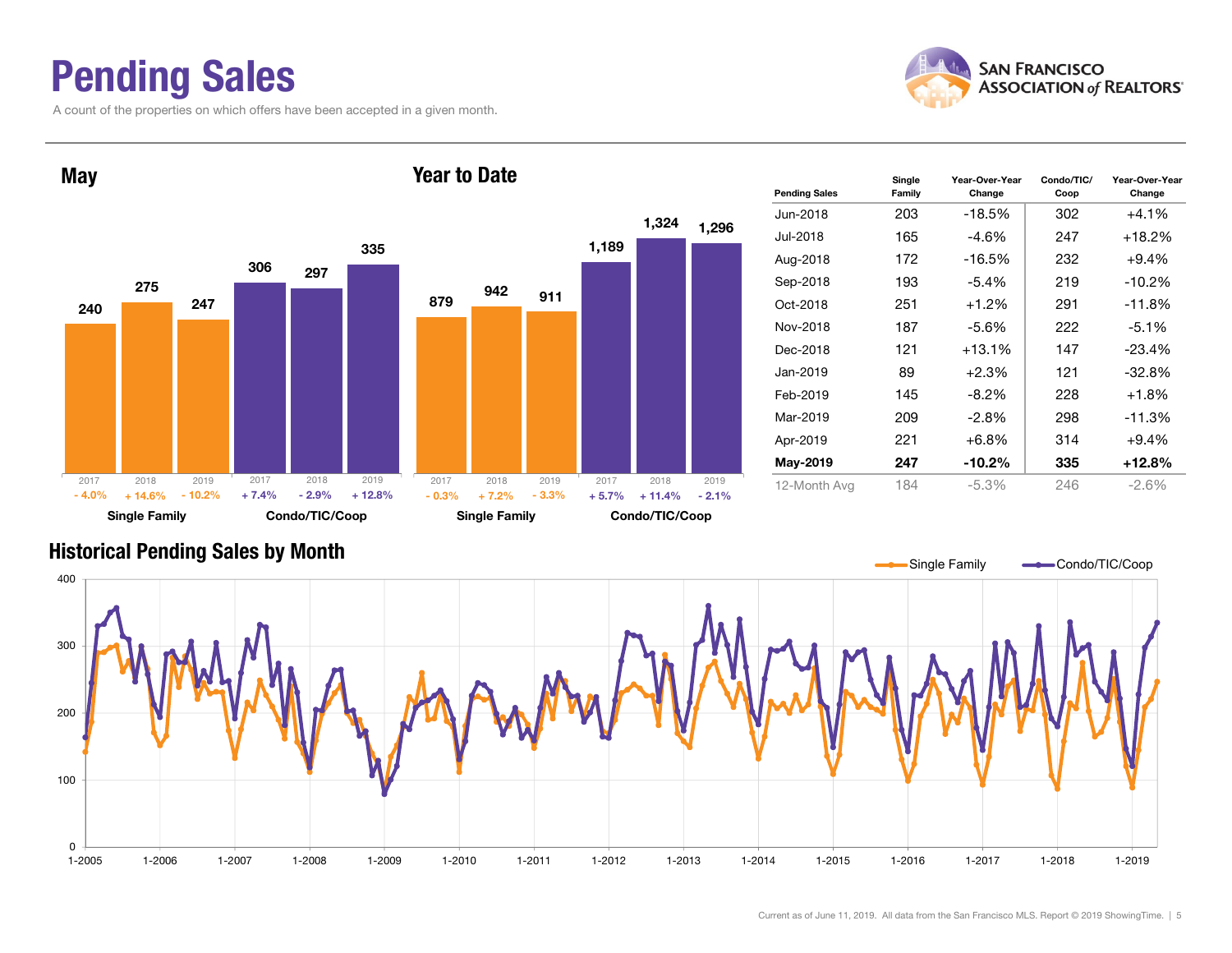### Pending Sales

A count of the properties on which offers have been accepted in a given month.



Year-Over-Year Change



#### Historical Pending Sales by Month

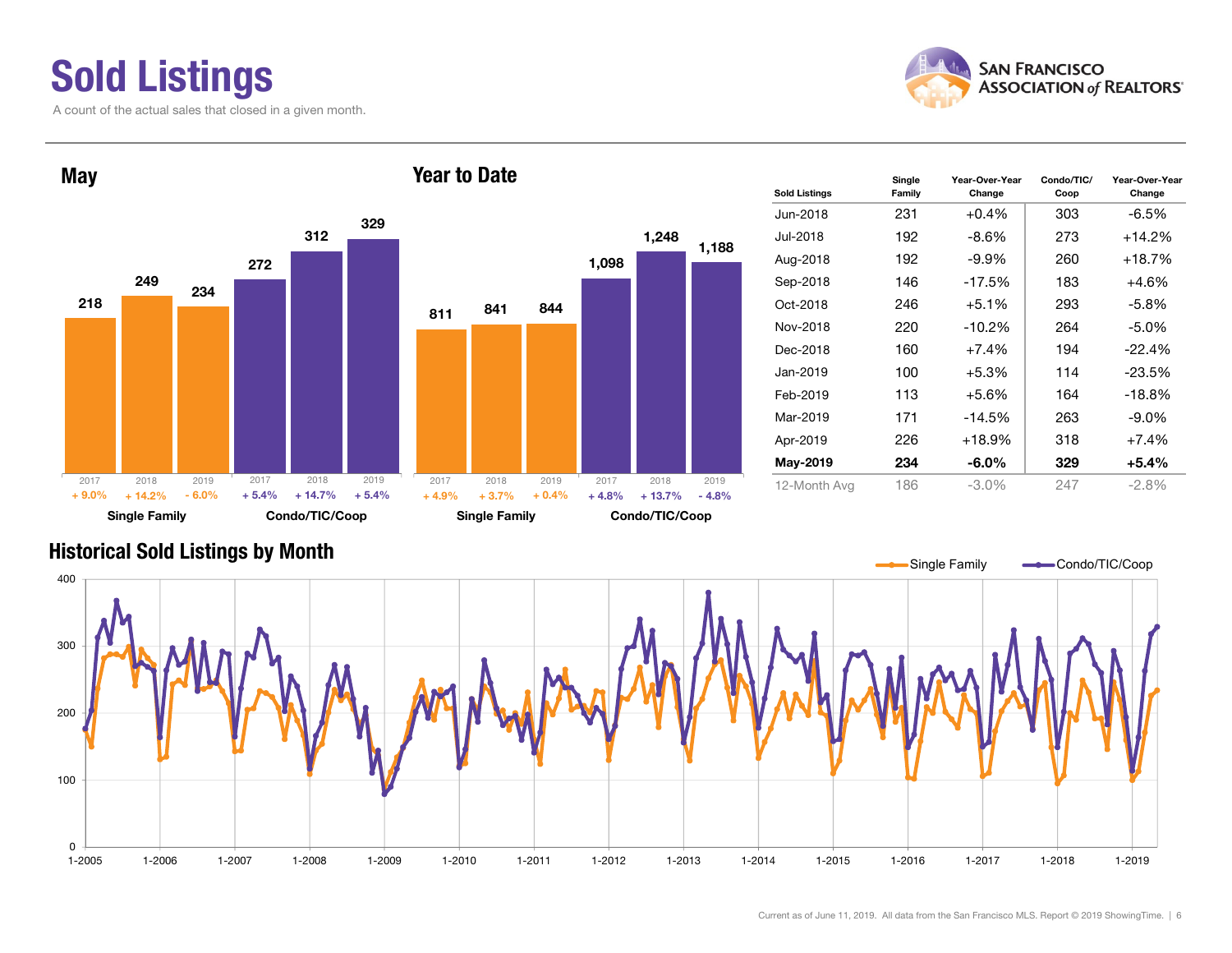## Sold Listings

A count of the actual sales that closed in a given month.





#### Historical Sold Listings by Month

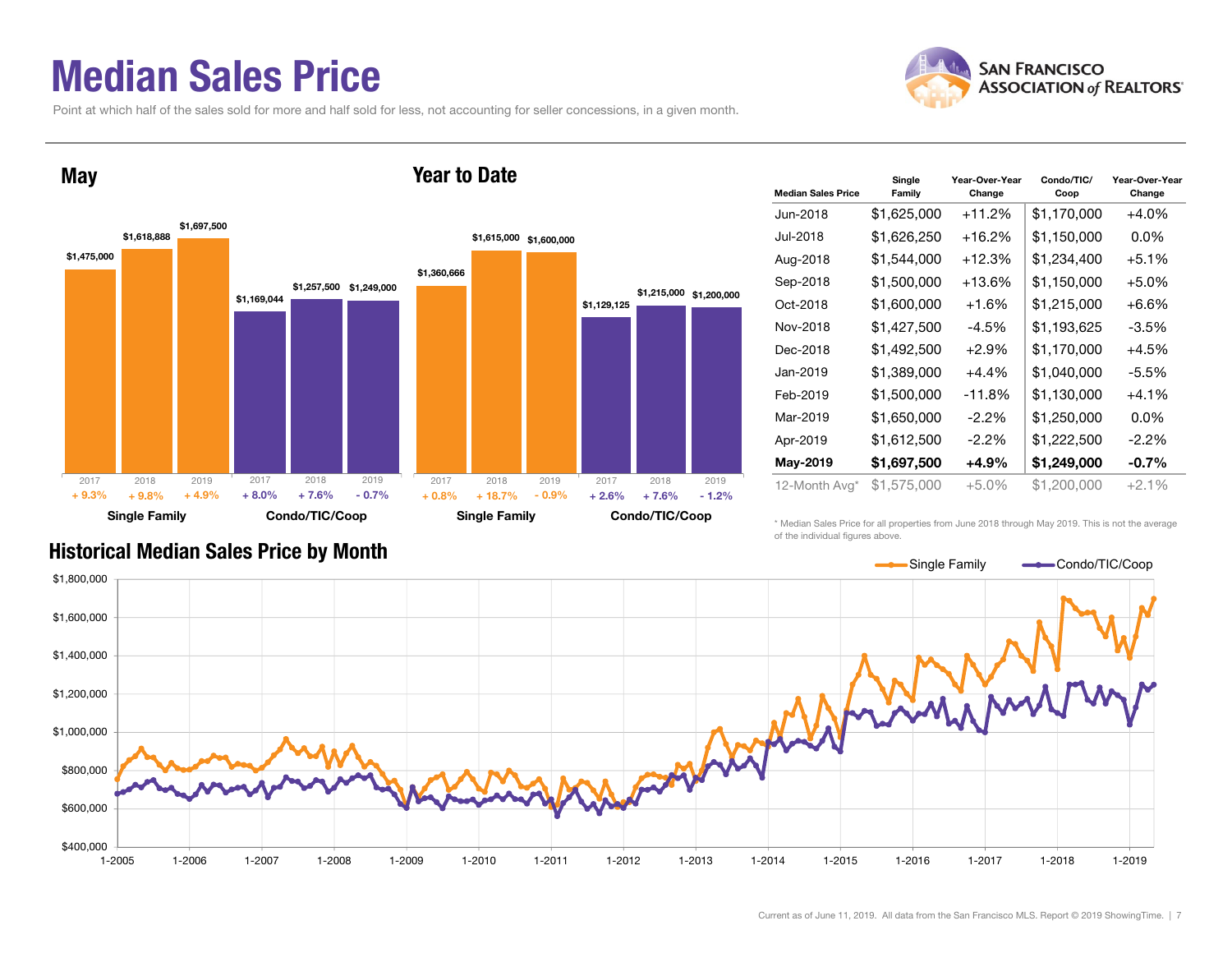#### Median Sales Price

Point at which half of the sales sold for more and half sold for less, not accounting for seller concessions, in a given month.





| <b>Median Sales Price</b> | Single<br>Family | Year-Over-Year<br>Change | Condo/TIC/<br>Coop | Year-Over-Year<br>Change |
|---------------------------|------------------|--------------------------|--------------------|--------------------------|
| Jun-2018                  | \$1,625,000      | +11.2%                   | \$1,170,000        | $+4.0%$                  |
| Jul-2018                  | \$1,626,250      | $+16.2%$                 | \$1,150,000        | $0.0\%$                  |
| Aug-2018                  | \$1,544,000      | $+12.3%$                 | \$1,234,400        | $+5.1%$                  |
| Sep-2018                  | \$1,500,000      | $+13.6%$                 | \$1,150,000        | $+5.0\%$                 |
| Oct-2018                  | \$1,600,000      | $+1.6%$                  | \$1,215,000        | +6.6%                    |
| Nov-2018                  | \$1,427,500      | $-4.5%$                  | \$1,193,625        | $-3.5%$                  |
| Dec-2018                  | \$1,492,500      | $+2.9%$                  | \$1,170,000        | $+4.5%$                  |
| Jan-2019                  | \$1,389,000      | $+4.4%$                  | \$1,040,000        | $-5.5%$                  |
| Feb-2019                  | \$1,500,000      | -11.8%                   | \$1,130,000        | $+4.1\%$                 |
| Mar-2019                  | \$1,650,000      | $-2.2\%$                 | \$1,250,000        | $0.0\%$                  |
| Apr-2019                  | \$1,612,500      | $-2.2\%$                 | \$1,222,500        | $-2.2\%$                 |
| May-2019                  | \$1,697,500      | +4.9%                    | \$1,249,000        | $-0.7%$                  |
| 12-Month Avg*             | \$1,575,000      | $+5.0%$                  | \$1,200,000        | $+2.1%$                  |

#### Historical Median Sales Price by Month

\* Median Sales Price for all properties from June 2018 through May 2019. This is not the average of the individual figures above.

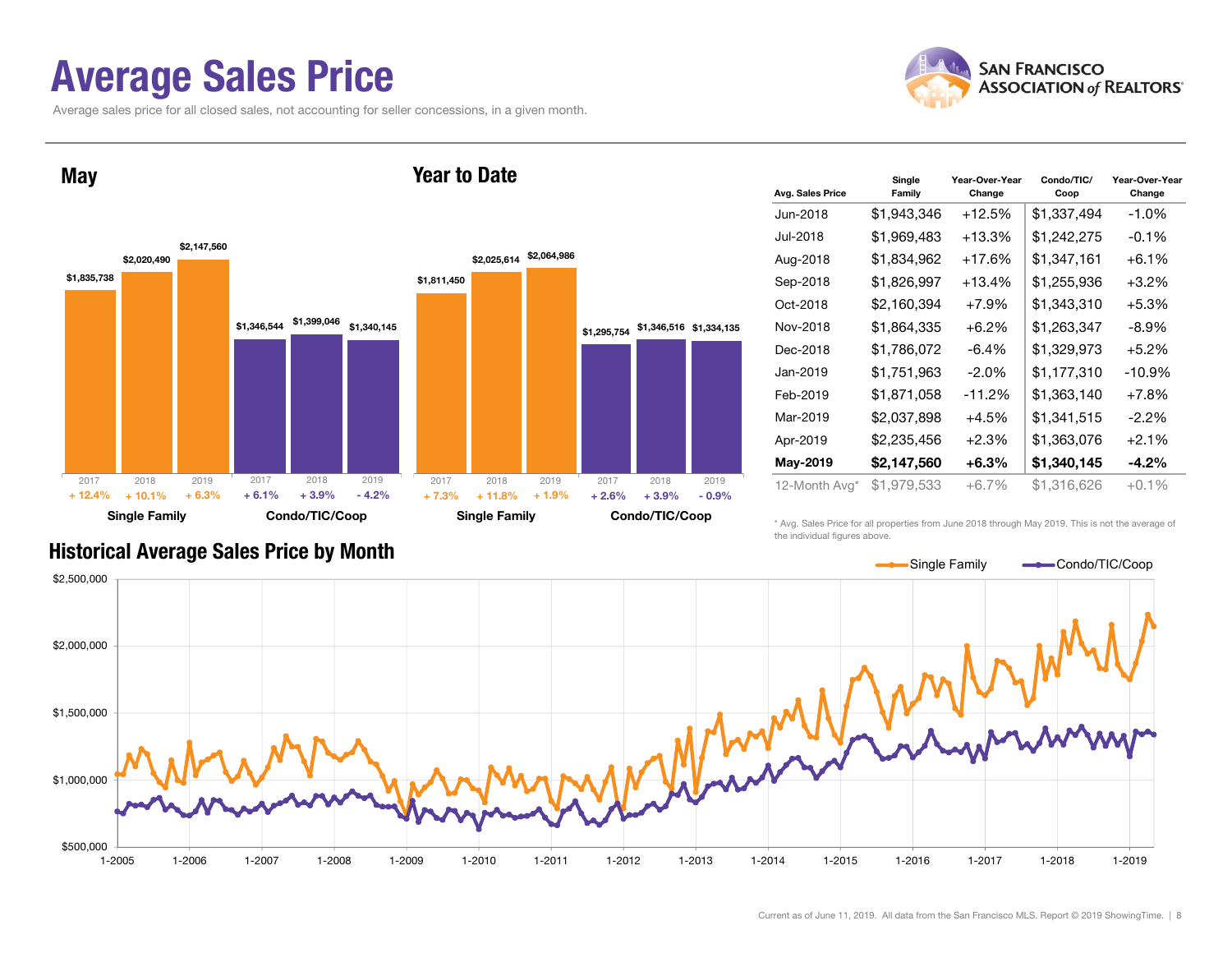#### Average Sales Price

Average sales price for all closed sales, not accounting for seller concessions, in a given month.



**May** 



Year to Date

| Avg. Sales Price | Single<br>Family | Year-Over-Year<br>Change | Condo/TIC/<br>Coop | Year-Over-Year<br>Change |
|------------------|------------------|--------------------------|--------------------|--------------------------|
| Jun-2018         | \$1,943,346      | $+12.5%$                 | \$1,337,494        | $-1.0%$                  |
| Jul-2018         | \$1,969,483      | +13.3%                   | \$1,242,275        | $-0.1\%$                 |
| Aug-2018         | \$1,834,962      | $+17.6%$                 | \$1,347,161        | $+6.1%$                  |
| Sep-2018         | \$1,826,997      | +13.4%                   | \$1,255,936        | $+3.2\%$                 |
| Oct-2018         | \$2,160,394      | $+7.9%$                  | \$1,343,310        | $+5.3%$                  |
| Nov-2018         | \$1,864,335      | $+6.2\%$                 | \$1,263,347        | $-8.9\%$                 |
| Dec-2018         | \$1,786,072      | $-6.4%$                  | \$1,329,973        | $+5.2%$                  |
| Jan-2019         | \$1,751,963      | $-2.0\%$                 | \$1,177,310        | $-10.9%$                 |
| Feb-2019         | \$1,871,058      | $-11.2%$                 | \$1,363,140        | $+7.8\%$                 |
| Mar-2019         | \$2,037,898      | $+4.5%$                  | \$1,341,515        | $-2.2\%$                 |
| Apr-2019         | \$2,235,456      | $+2.3%$                  | \$1,363,076        | $+2.1%$                  |
| May-2019         | \$2,147,560      | $+6.3%$                  | \$1,340,145        | $-4.2\%$                 |
| 12-Month Avg*    | \$1,979,533      | $+6.7%$                  | \$1,316,626        | $+0.1%$                  |

Historical Average Sales Price by Month

\* Avg. Sales Price for all properties from June 2018 through May 2019. This is not the average of the individual figures above.

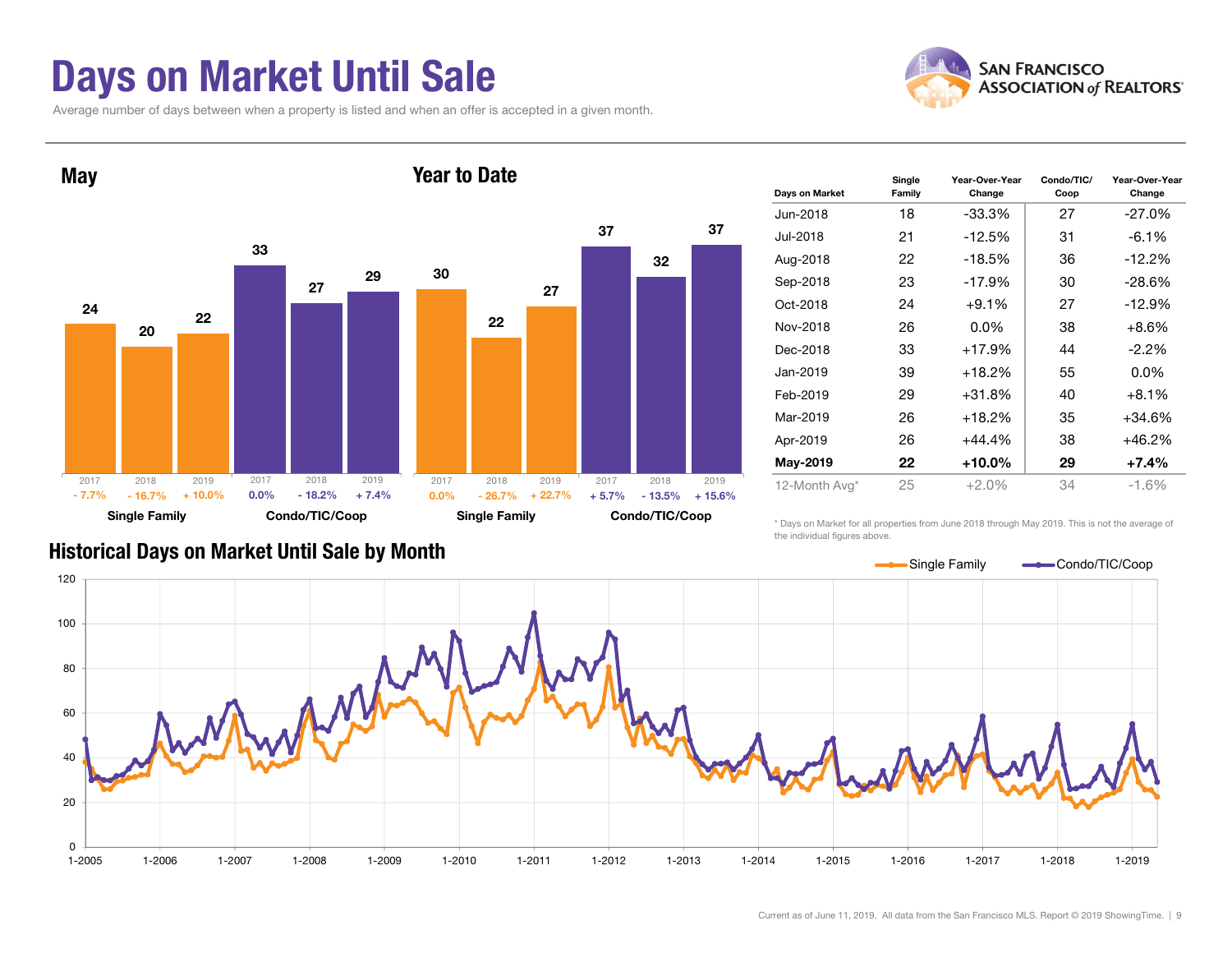#### Days on Market Until Sale

Average number of days between when a property is listed and when an offer is accepted in a given month.





| Days on Market | Single<br>Family | Year-Over-Year<br>Change | Condo/TIC/<br>Coop | Year-Over-Year<br>Change |
|----------------|------------------|--------------------------|--------------------|--------------------------|
| Jun-2018       | 18               | $-33.3%$                 | 27                 | $-27.0\%$                |
| Jul-2018       | 21               | $-12.5%$                 | 31                 | $-6.1%$                  |
| Aug-2018       | 22               | $-18.5%$                 | 36                 | $-12.2%$                 |
| Sep-2018       | 23               | $-17.9%$                 | 30                 | $-28.6%$                 |
| Oct-2018       | 24               | $+9.1%$                  | 27                 | $-12.9%$                 |
| Nov-2018       | 26               | $0.0\%$                  | 38                 | $+8.6%$                  |
| Dec-2018       | 33               | $+17.9%$                 | 44                 | $-2.2\%$                 |
| Jan-2019       | 39               | $+18.2%$                 | 55                 | $0.0\%$                  |
| Feb-2019       | 29               | $+31.8%$                 | 40                 | $+8.1\%$                 |
| Mar-2019       | 26               | $+18.2%$                 | 35                 | $+34.6%$                 |
| Apr-2019       | 26               | $+44.4%$                 | 38                 | $+46.2%$                 |
| May-2019       | 22               | $+10.0%$                 | 29                 | $+7.4%$                  |
| 12-Month Avg*  | 25               | $+2.0%$                  | 34                 | $-1.6%$                  |

\* Days on Market for all properties from June 2018 through May 2019. This is not the average of the individual figures above.



#### Historical Days on Market Until Sale by Month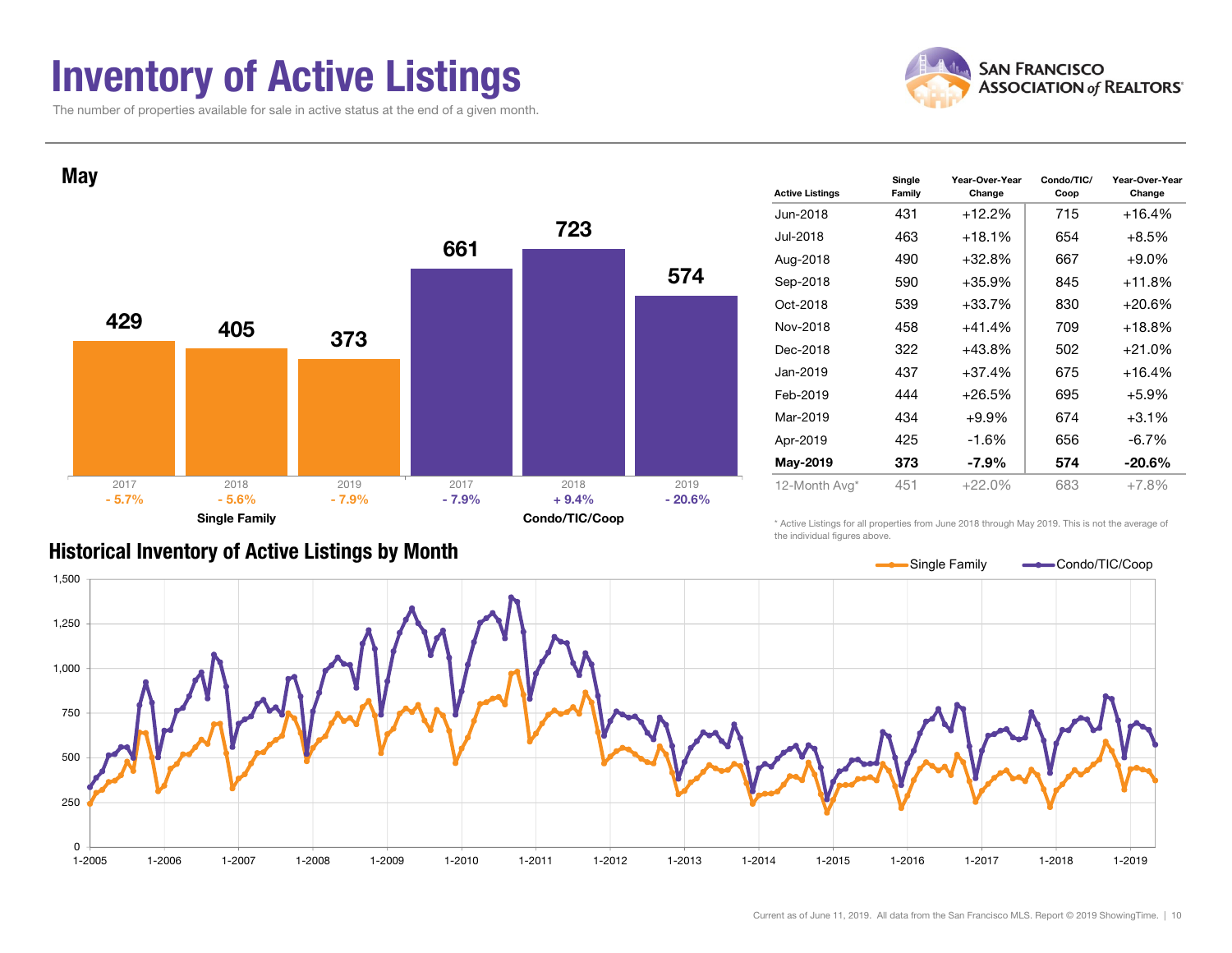#### Inventory of Active Listings

The number of properties available for sale in active status at the end of a given month.



Condo/TIC/

Year-Over-Year



|  | <b>Historical Inventory of Active Listings by Month</b> |  |  |  |
|--|---------------------------------------------------------|--|--|--|
|--|---------------------------------------------------------|--|--|--|

| Jun-2018<br>431<br>$+12.2%$<br>715<br>$+16.4%$<br>Jul-2018<br>463<br>$+18.1%$<br>654<br>$+8.5%$<br>$+32.8%$<br>$+9.0\%$<br>490<br>667<br>Aug-2018<br>590<br>$+35.9%$<br>845<br>+11.8%<br>Sep-2018<br>830<br>Oct-2018<br>539<br>$+33.7%$<br>+20.6%<br>709<br>Nov-2018<br>458<br>$+41.4%$<br>+18.8%<br>322<br>+21.0%<br>+43.8%<br>502<br>Dec-2018<br>437<br>$+37.4%$<br>675<br>+16.4%<br>Jan-2019<br>Feb-2019<br>444<br>$+26.5%$<br>695<br>$+5.9%$<br>Mar-2019<br>434<br>674<br>$+3.1%$<br>$+9.9%$<br>656<br>Apr-2019<br>425<br>$-1.6%$<br>$-6.7\%$<br>373<br>$-7.9\%$<br>574<br>$-20.6\%$<br>May-2019<br>12-Month Avg*<br>451<br>$+22.0%$<br>683<br>$+7.8%$ | <b>Active Listings</b> | סואווט<br>Family | Change | ,,,,,,,,,,,,<br>Coop | Change |
|------------------------------------------------------------------------------------------------------------------------------------------------------------------------------------------------------------------------------------------------------------------------------------------------------------------------------------------------------------------------------------------------------------------------------------------------------------------------------------------------------------------------------------------------------------------------------------------------------------------------------------------------------------|------------------------|------------------|--------|----------------------|--------|
|                                                                                                                                                                                                                                                                                                                                                                                                                                                                                                                                                                                                                                                            |                        |                  |        |                      |        |
|                                                                                                                                                                                                                                                                                                                                                                                                                                                                                                                                                                                                                                                            |                        |                  |        |                      |        |
|                                                                                                                                                                                                                                                                                                                                                                                                                                                                                                                                                                                                                                                            |                        |                  |        |                      |        |
|                                                                                                                                                                                                                                                                                                                                                                                                                                                                                                                                                                                                                                                            |                        |                  |        |                      |        |
|                                                                                                                                                                                                                                                                                                                                                                                                                                                                                                                                                                                                                                                            |                        |                  |        |                      |        |
|                                                                                                                                                                                                                                                                                                                                                                                                                                                                                                                                                                                                                                                            |                        |                  |        |                      |        |
|                                                                                                                                                                                                                                                                                                                                                                                                                                                                                                                                                                                                                                                            |                        |                  |        |                      |        |
|                                                                                                                                                                                                                                                                                                                                                                                                                                                                                                                                                                                                                                                            |                        |                  |        |                      |        |
|                                                                                                                                                                                                                                                                                                                                                                                                                                                                                                                                                                                                                                                            |                        |                  |        |                      |        |
|                                                                                                                                                                                                                                                                                                                                                                                                                                                                                                                                                                                                                                                            |                        |                  |        |                      |        |
|                                                                                                                                                                                                                                                                                                                                                                                                                                                                                                                                                                                                                                                            |                        |                  |        |                      |        |
|                                                                                                                                                                                                                                                                                                                                                                                                                                                                                                                                                                                                                                                            |                        |                  |        |                      |        |
|                                                                                                                                                                                                                                                                                                                                                                                                                                                                                                                                                                                                                                                            |                        |                  |        |                      |        |

Year-Over-Year

**Single** 

\* Active Listings for all properties from June 2018 through May 2019. This is not the average of the individual figures above.

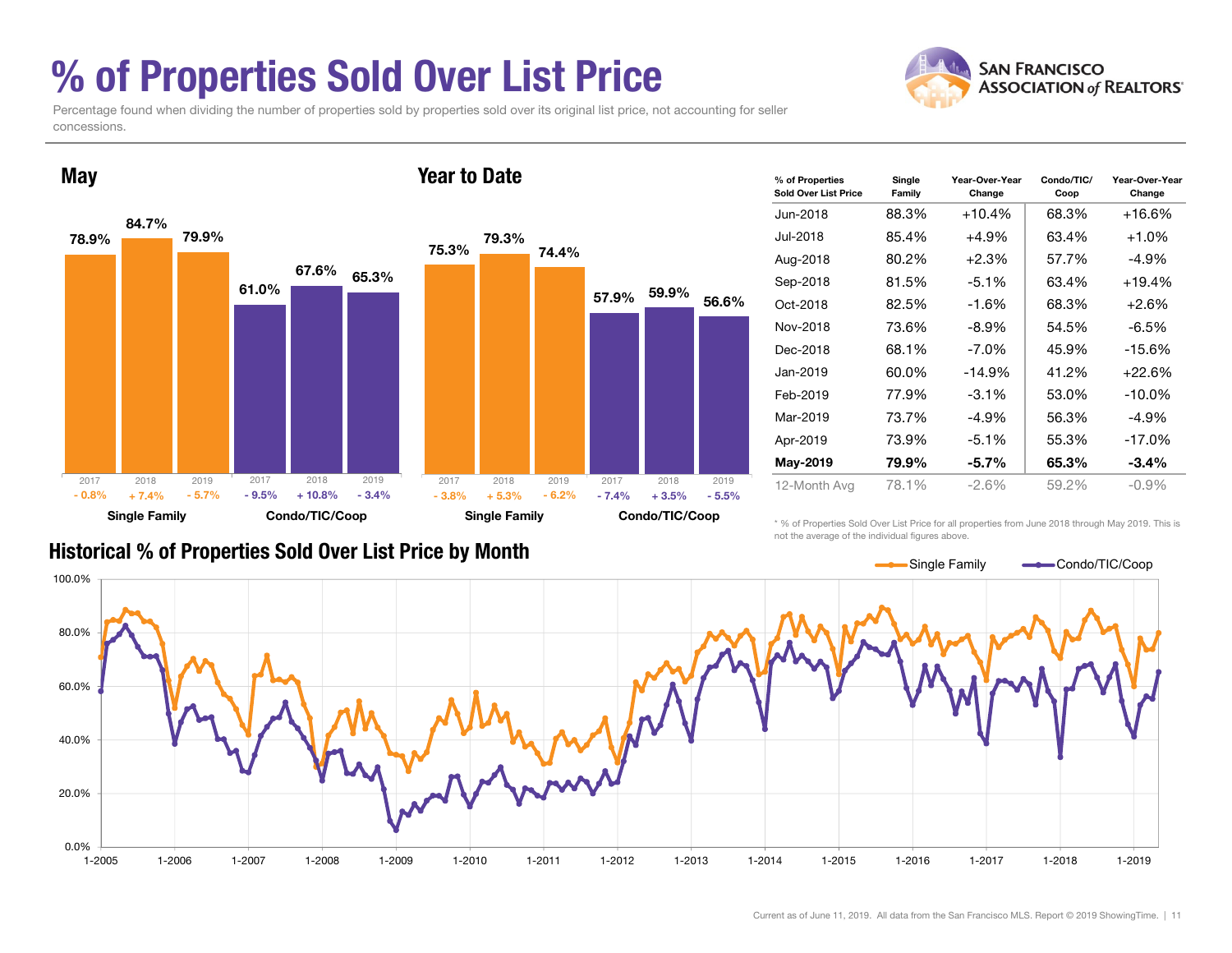## % of Properties Sold Over List Price

Percentage found when dividing the number of properties sold by properties sold over its original list price, not accounting for seller concessions.



| % of Properties<br><b>Sold Over List Price</b> | Single<br>Family | Year-Over-Year<br>Change | Condo/TIC/<br>Coop | Year-Over-Year<br>Change |
|------------------------------------------------|------------------|--------------------------|--------------------|--------------------------|
| Jun-2018                                       | 88.3%            | $+10.4%$                 | 68.3%              | $+16.6%$                 |
| Jul-2018                                       | 85.4%            | $+4.9\%$                 | 63.4%              | $+1.0\%$                 |
| Aug-2018                                       | 80.2%            | $+2.3%$                  | 57.7%              | -4.9%                    |
| Sep-2018                                       | 81.5%            | $-5.1%$                  | 63.4%              | $+19.4%$                 |
| Oct-2018                                       | 82.5%            | $-1.6%$                  | 68.3%              | $+2.6\%$                 |
| Nov-2018                                       | 73.6%            | -8.9%                    | 54.5%              | -6.5%                    |
| Dec-2018                                       | 68.1%            | $-7.0\%$                 | 45.9%              | $-15.6%$                 |
| Jan-2019                                       | 60.0%            | $-14.9%$                 | 41.2%              | $+22.6%$                 |
| Feb-2019                                       | 77.9%            | $-3.1%$                  | 53.0%              | $-10.0\%$                |
| Mar-2019                                       | 73.7%            | $-4.9%$                  | 56.3%              | $-4.9%$                  |
| Apr-2019                                       | 73.9%            | $-5.1\%$                 | 55.3%              | $-17.0%$                 |
| May-2019                                       | 79.9%            | $-5.7%$                  | 65.3%              | $-3.4\%$                 |
| 12-Month Ava                                   | 78.1%            | $-2.6\%$                 | 59.2%              | $-0.9\%$                 |

#### Historical % of Properties Sold Over List Price by Month

\* % of Properties Sold Over List Price for all properties from June 2018 through May 2019. This is not the average of the individual figures above.



**SAN FRANCISCO ASSOCIATION of REALTORS'**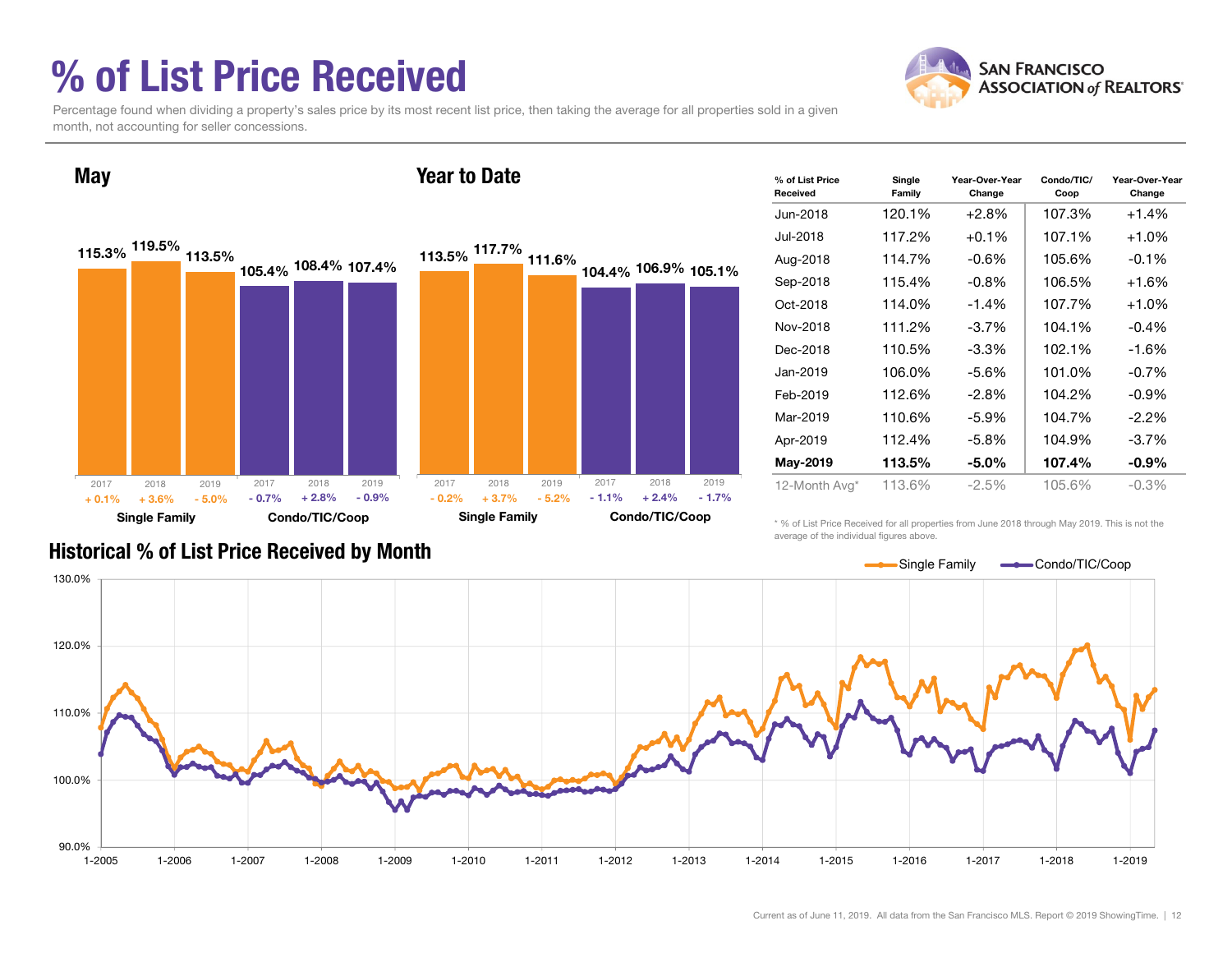## % of List Price Received



Percentage found when dividing a property's sales price by its most recent list price, then taking the average for all properties sold in a given month, not accounting for seller concessions.



| % of List Price<br>Received | Single<br>Family | Year-Over-Year<br>Change | Condo/TIC/<br>Coop | Year-Over-Year<br>Change |
|-----------------------------|------------------|--------------------------|--------------------|--------------------------|
| Jun-2018                    | 120.1%           | $+2.8%$                  | 107.3%             | $+1.4%$                  |
| Jul-2018                    | 117.2%           | $+0.1\%$                 | 107.1%             | $+1.0\%$                 |
| Aug-2018                    | 114.7%           | $-0.6\%$                 | 105.6%             | $-0.1%$                  |
| Sep-2018                    | 115.4%           | $-0.8\%$                 | 106.5%             | $+1.6%$                  |
| Oct-2018                    | 114.0%           | $-1.4%$                  | 107.7%             | $+1.0%$                  |
| Nov-2018                    | 111.2%           | $-3.7\%$                 | 104.1%             | $-0.4%$                  |
| Dec-2018                    | 110.5%           | $-3.3\%$                 | 102.1%             | -1.6%                    |
| Jan-2019                    | 106.0%           | $-5.6\%$                 | 101.0%             | $-0.7\%$                 |
| Feb-2019                    | 112.6%           | $-2.8\%$                 | 104.2%             | $-0.9\%$                 |
| Mar-2019                    | 110.6%           | $-5.9\%$                 | 104.7%             | $-2.2\%$                 |
| Apr-2019                    | 112.4%           | $-5.8\%$                 | 104.9%             | $-3.7\%$                 |
| May-2019                    | 113.5%           | $-5.0\%$                 | 107.4%             | $-0.9\%$                 |
| 12-Month Avg*               | 113.6%           | -2.5%                    | 105.6%             | $-0.3\%$                 |

\* % of List Price Received for all properties from June 2018 through May 2019. This is not the average of the individual figures above.



#### Historical % of List Price Received by Month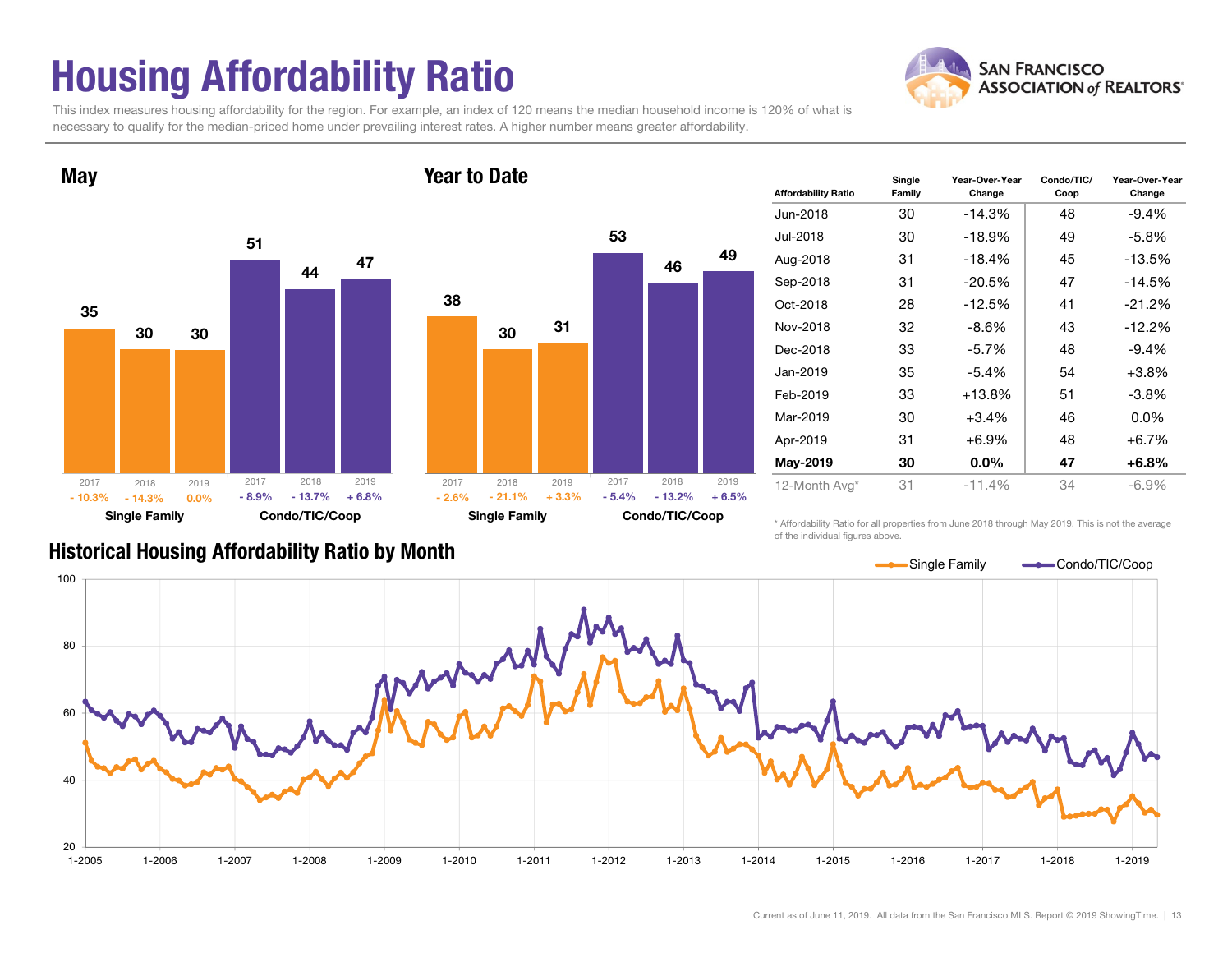## Housing Affordability Ratio

**May** 

This index measures housing affordability for the region. For example, an index of 120 means the median household income is 120% of what is necessary to qualify for the median-priced home under prevailing interest rates. A higher number means greater affordability.

Year to Date



# 53



46

49

| <b>Affordability Ratio</b> | Single<br>Family | Year-Over-Year<br>Change | Condo/TIC/<br>Coop | Year-Over-Year<br>Change |
|----------------------------|------------------|--------------------------|--------------------|--------------------------|
| Jun-2018                   | 30               | -14.3%                   | 48                 | $-9.4%$                  |
| Jul-2018                   | 30               | $-18.9%$                 | 49                 | -5.8%                    |
| Aug-2018                   | 31               | $-18.4%$                 | 45                 | $-13.5%$                 |
| Sep-2018                   | 31               | -20.5%                   | 47                 | $-14.5%$                 |
| Oct-2018                   | 28               | $-12.5%$                 | 41                 | $-21.2%$                 |
| Nov-2018                   | 32               | $-8.6\%$                 | 43                 | $-12.2%$                 |
| Dec-2018                   | 33               | $-5.7\%$                 | 48                 | $-9.4%$                  |
| Jan-2019                   | 35               | $-5.4\%$                 | 54                 | $+3.8%$                  |
| Feb-2019                   | 33               | +13.8%                   | 51                 | $-3.8\%$                 |
| Mar-2019                   | 30               | +3.4%                    | 46                 | $0.0\%$                  |
| Apr-2019                   | 31               | +6.9%                    | 48                 | $+6.7%$                  |
| May-2019                   | 30               | $0.0\%$                  | 47                 | $+6.8%$                  |
| 12-Month Avg*              | 31               | $-11.4%$                 | 34                 | $-6.9%$                  |

Historical Housing Affordability Ratio by Month

\* Affordability Ratio for all properties from June 2018 through May 2019. This is not the average of the individual figures above.



**SAN FRANCISCO ASSOCIATION of REALTORS'**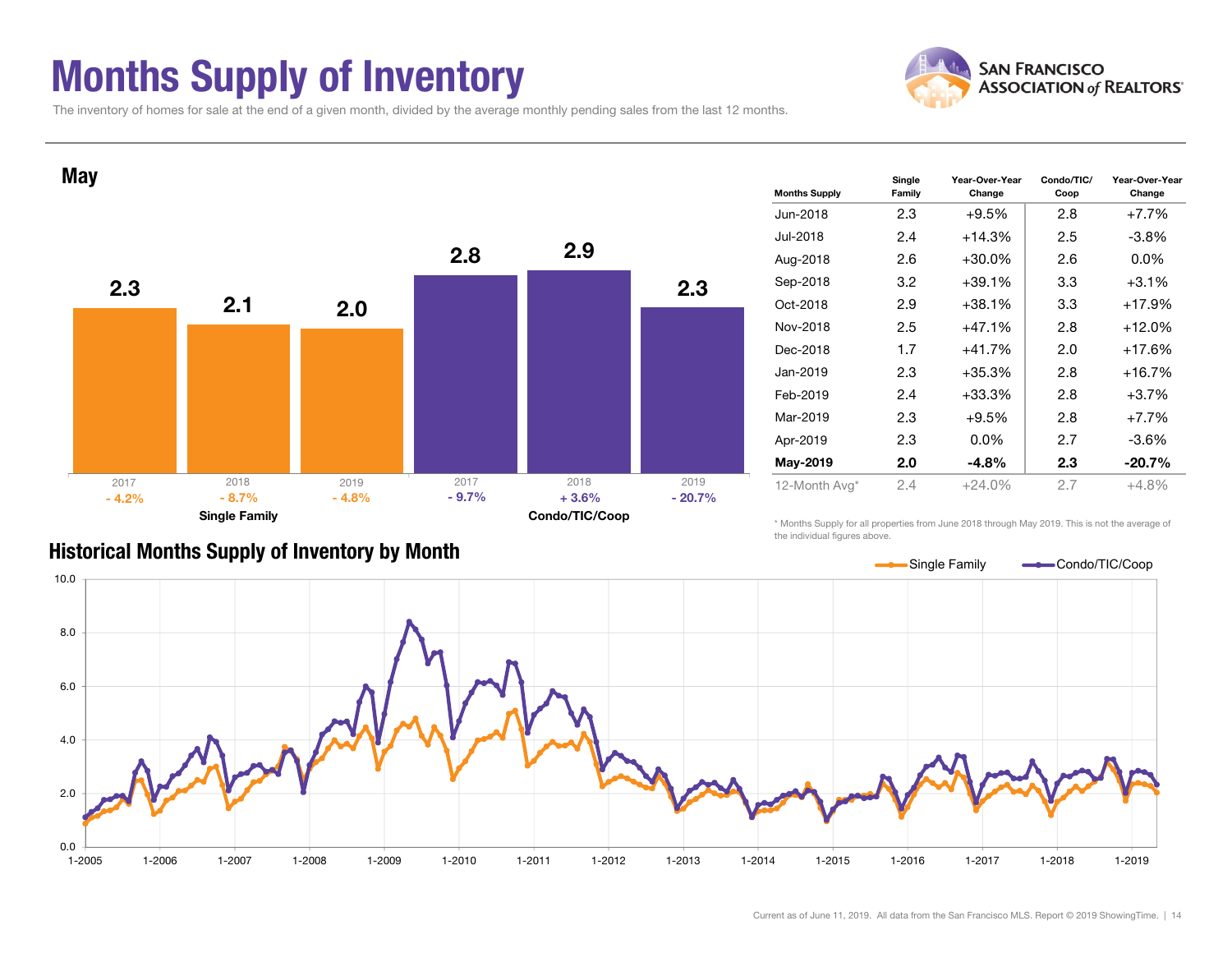#### Months Supply of Inventory



The inventory of homes for sale at the end of a given month, divided by the average monthly pending sales from the last 12 months.



#### Historical Months Supply of Inventory by Month

\* Months Supply for all properties from June 2018 through May 2019. This is not the average of the individual figures above.

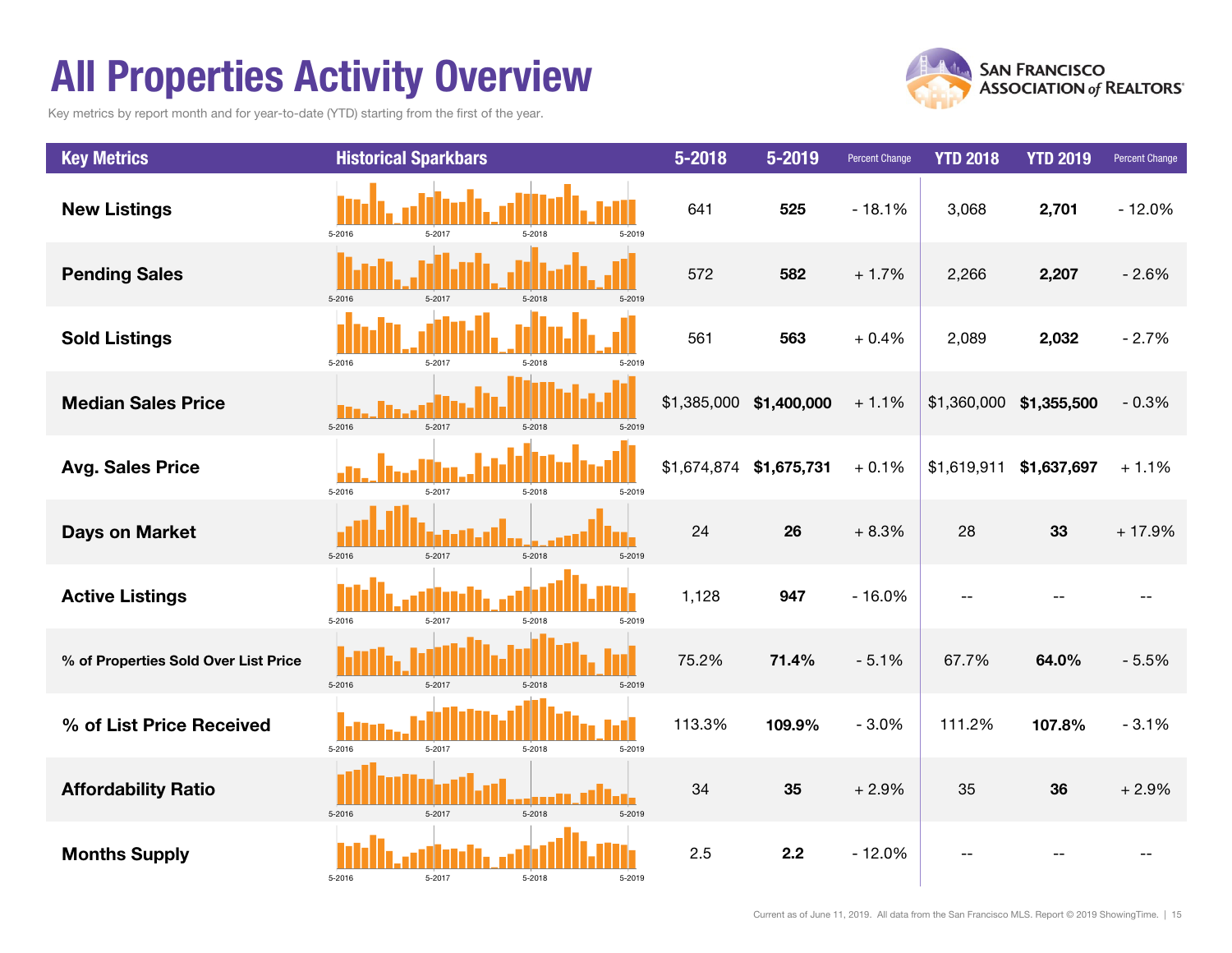## All Properties Activity Overview

Key metrics by report month and for year-to-date (YTD) starting from the first of the year.